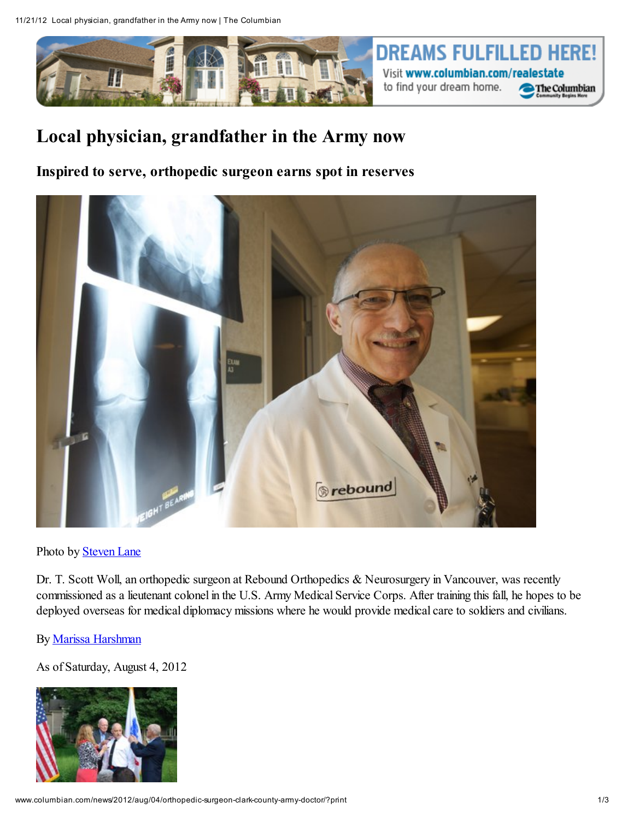

## Local physician, grandfather in the Army now

Inspired to serve, orthopedic surgeon earns spot in reserves



## Photo by [Steven](http://www.columbian.com/staff/steven-lane/) Lane

Dr. T. Scott Woll, an orthopedic surgeon at Rebound Orthopedics & Neurosurgery in Vancouver, was recently commissioned as a lieutenant colonel in the U.S. Army Medical Service Corps. After training this fall, he hopes to be deployed overseas for medical diplomacy missions where he would provide medical care to soldiers and civilians.

By Marissa [Harshman](http://www.columbian.com/staff/marissa-harshman/)

As of Saturday, August 4, 2012

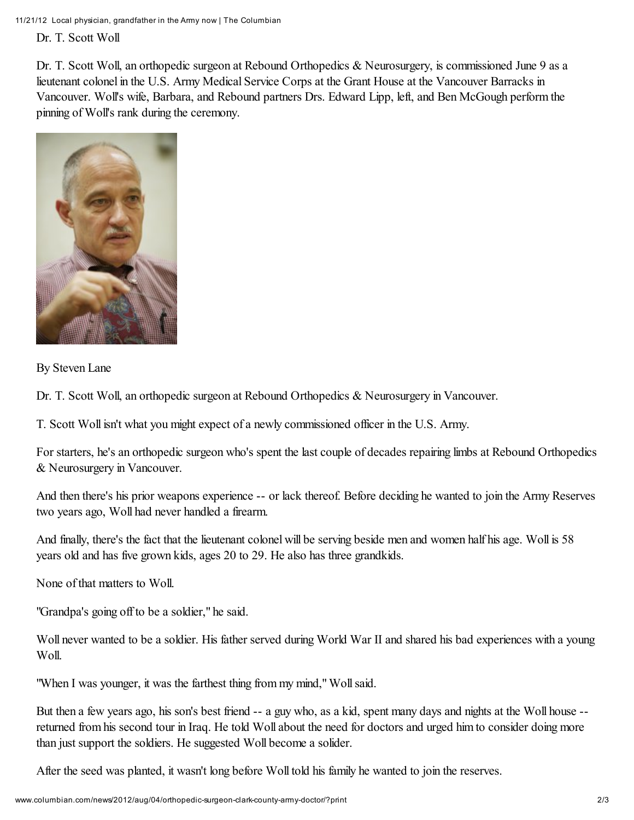11/21/12 Local physician, grandfather in the Army now | The Columbian

Dr. T. Scott Woll

Dr. T. Scott Woll, an orthopedic surgeon at Rebound Orthopedics & Neurosurgery, is commissioned June 9 as a lieutenant colonel in the U.S. Army Medical Service Corps at the Grant House at the Vancouver Barracks in Vancouver. Woll's wife, Barbara, and Rebound partners Drs. Edward Lipp, left, and Ben McGough perform the pinning of Woll's rank during the ceremony.



By Steven Lane

Dr. T. Scott Woll, an orthopedic surgeon at Rebound Orthopedics & Neurosurgery in Vancouver.

T. Scott Woll isn't what you might expect of a newly commissioned officer in the U.S. Army.

For starters, he's an orthopedic surgeon who's spent the last couple of decades repairing limbs at Rebound Orthopedics & Neurosurgery in Vancouver.

And then there's his prior weapons experience -- or lack thereof. Before deciding he wanted to join the Army Reserves two years ago, Woll had never handled a firearm.

And finally, there's the fact that the lieutenant colonel will be serving beside men and women half his age. Woll is 58 years old and has five grown kids, ages 20 to 29. He also has three grandkids.

None of that matters to Woll.

"Grandpa's going off to be a soldier," he said.

Woll never wanted to be a soldier. His father served during World War II and shared his bad experiences with a young Woll.

"When I was younger, it was the farthest thing from my mind,"Wollsaid.

But then a few years ago, his son's best friend -- a guy who, as a kid, spent many days and nights at the Woll house - returned from his second tour in Iraq. He told Woll about the need for doctors and urged him to consider doing more than just support the soldiers. He suggested Woll become a solider.

After the seed was planted, it wasn't long before Woll told his family he wanted to join the reserves.